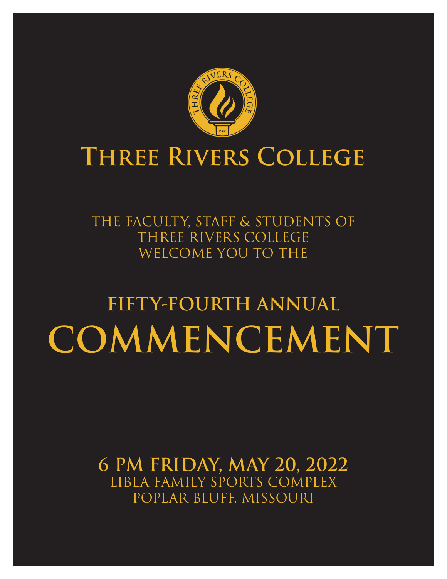

# **Three Rivers College**

THE FACULTY, STAFF & STUDENTS OF THREE RIVERS COLLEGE WELCOME YOU TO THE

# **FIFTY-FOURTH ANNUAL COMMENCEMENT**

**6 PM FRIDAY, MAY 20, 2022** LIBLA FAMILY SPORTS COMPLEX POPLAR BLUFF, MISSOURI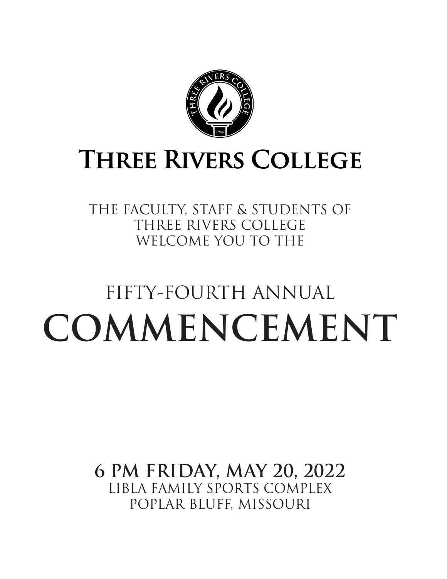

# **THREE RIVERS COLLEGE**

THE FACULTY, STAFF & STUDENTS OF THREE RIVERS COLLEGE WELCOME YOU TO THE

# FIFTY-FOURTH ANNUAL **COMMENCEMENT**

**6 PM FRIDAY, MAY 20, 2022** LIBLA FAMILY SPORTS COMPLEX POPLAR BLUFF, MISSOURI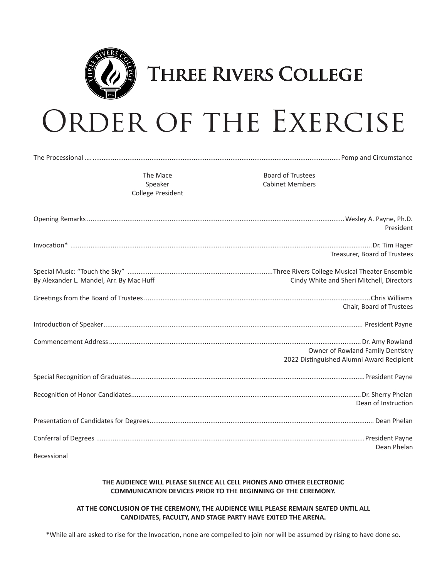

### **THREE RIVERS COLLEGE**

# ORDER OF THE EXERCISE

The Processional …........................................................................................................................................Pomp and Circumstance

The Mace Speaker College President

Board of Trustees Cabinet Members

|                                          | President                                                                      |
|------------------------------------------|--------------------------------------------------------------------------------|
|                                          | Treasurer, Board of Trustees                                                   |
| By Alexander L. Mandel, Arr. By Mac Huff | Cindy White and Sheri Mitchell, Directors                                      |
|                                          | Chair, Board of Trustees                                                       |
|                                          |                                                                                |
|                                          | Owner of Rowland Family Dentistry<br>2022 Distinguished Alumni Award Recipient |
|                                          |                                                                                |
|                                          | Dean of Instruction                                                            |
|                                          |                                                                                |
| Recessional                              | Dean Phelan                                                                    |
|                                          |                                                                                |

#### **THE AUDIENCE WILL PLEASE SILENCE ALL CELL PHONES AND OTHER ELECTRONIC COMMUNICATION DEVICES PRIOR TO THE BEGINNING OF THE CEREMONY.**

#### **AT THE CONCLUSION OF THE CEREMONY, THE AUDIENCE WILL PLEASE REMAIN SEATED UNTIL ALL CANDIDATES, FACULTY, AND STAGE PARTY HAVE EXITED THE ARENA.**

\*While all are asked to rise for the Invocation, none are compelled to join nor will be assumed by rising to have done so.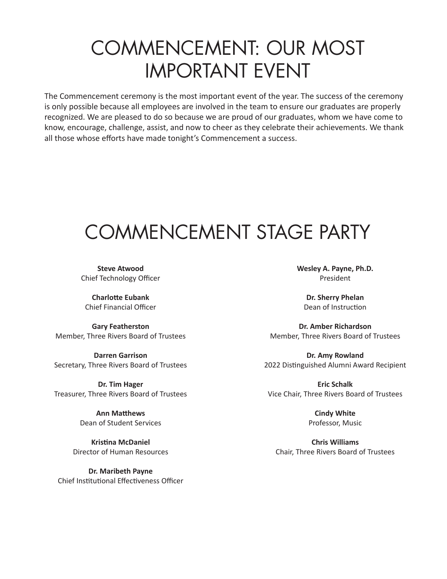# COMMENCEMENT: OUR MOST IMPORTANT EVENT

The Commencement ceremony is the most important event of the year. The success of the ceremony is only possible because all employees are involved in the team to ensure our graduates are properly recognized. We are pleased to do so because we are proud of our graduates, whom we have come to know, encourage, challenge, assist, and now to cheer as they celebrate their achievements. We thank all those whose efforts have made tonight's Commencement a success.

# COMMENCEMENT STAGE PARTY

**Steve Atwood** Chief Technology Officer

**Charlotte Eubank** Chief Financial Officer

**Gary Featherston** Member, Three Rivers Board of Trustees

**Darren Garrison** Secretary, Three Rivers Board of Trustees

**Dr. Tim Hager** Treasurer, Three Rivers Board of Trustees

> **Ann Matthews** Dean of Student Services

**Kristina McDaniel** Director of Human Resources

**Dr. Maribeth Payne** Chief Institutional Effectiveness Officer **Wesley A. Payne, Ph.D.** President

**Dr. Sherry Phelan** Dean of Instruction

**Dr. Amber Richardson** Member, Three Rivers Board of Trustees

**Dr. Amy Rowland** 2022 Distinguished Alumni Award Recipient

**Eric Schalk** Vice Chair, Three Rivers Board of Trustees

> **Cindy White** Professor, Music

**Chris Williams** Chair, Three Rivers Board of Trustees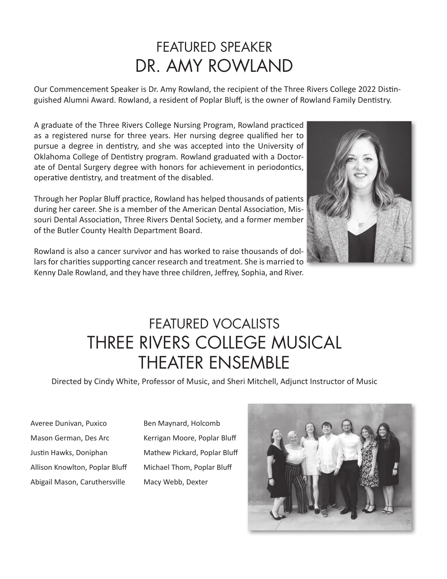### FEATURED SPEAKER DR. AMY ROWLAND

Our Commencement Speaker is Dr. Amy Rowland, the recipient of the Three Rivers College 2022 Distinguished Alumni Award. Rowland, a resident of Poplar Bluff, is the owner of Rowland Family Dentistry.

A graduate of the Three Rivers College Nursing Program, Rowland practiced as a registered nurse for three years. Her nursing degree qualified her to pursue a degree in dentistry, and she was accepted into the University of Oklahoma College of Dentistry program. Rowland graduated with a Doctorate of Dental Surgery degree with honors for achievement in periodontics, operative dentistry, and treatment of the disabled.

Through her Poplar Bluff practice, Rowland has helped thousands of patients during her career. She is a member of the American Dental Association, Missouri Dental Association, Three Rivers Dental Society, and a former member of the Butler County Health Department Board.



Rowland is also a cancer survivor and has worked to raise thousands of dollars for charities supporting cancer research and treatment. She is married to Kenny Dale Rowland, and they have three children, Jeffrey, Sophia, and River.

### FEATURED VOCALISTS THREE RIVERS COLLEGE MUSICAL THEATER ENSEMBLE

Directed by Cindy White, Professor of Music, and Sheri Mitchell, Adjunct Instructor of Music

Averee Dunivan, Puxico Mason German, Des Arc Justin Hawks, Doniphan Allison Knowlton, Poplar Bluff Abigail Mason, Caruthersville

Ben Maynard, Holcomb Kerrigan Moore, Poplar Bluff Mathew Pickard, Poplar Bluff Michael Thom, Poplar Bluff Macy Webb, Dexter

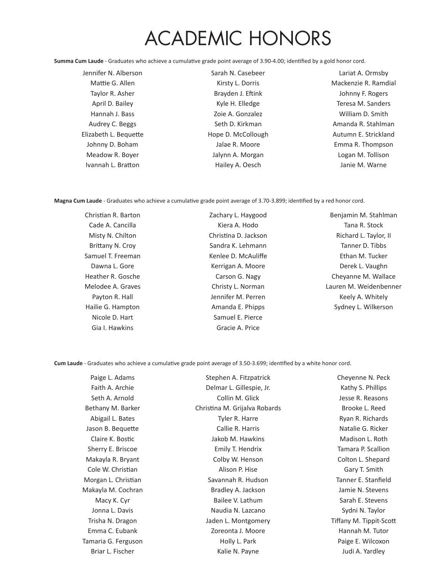# ACADEMIC HONORS

**Summa Cum Laude** - Graduates who achieve a cumulative grade point average of 3.90-4.00; identified by a gold honor cord.

Jennifer N. Alberson Mattie G. Allen Taylor R. Asher April D. Bailey Hannah J. Bass Audrey C. Beggs Elizabeth L. Bequette Johnny D. Boham Meadow R. Boyer Ivannah L. Bratton

Sarah N. Casebeer Kirsty L. Dorris Brayden J. Eftink Kyle H. Elledge Zoie A. Gonzalez Seth D. Kirkman Hope D. McCollough Jalae R. Moore Jalynn A. Morgan Hailey A. Oesch

Lariat A. Ormsby Mackenzie R. Ramdial Johnny F. Rogers Teresa M. Sanders William D. Smith Amanda R. Stahlman Autumn E. Strickland Emma R. Thompson Logan M. Tollison Janie M. Warne

**Magna Cum Laude** - Graduates who achieve a cumulative grade point average of 3.70-3.899; identified by a red honor cord.

| Christian R. Barton | Zachary L. Haygood   | Benjamin M. Stahlman   |
|---------------------|----------------------|------------------------|
| Cade A. Cancilla    | Kiera A. Hodo        | Tana R. Stock          |
| Misty N. Chilton    | Christina D. Jackson | Richard L. Taylor, II  |
| Brittany N. Croy    | Sandra K. Lehmann    | Tanner D. Tibbs        |
| Samuel T. Freeman   | Kenlee D. McAuliffe  | Ethan M. Tucker        |
| Dawna L. Gore       | Kerrigan A. Moore    | Derek L. Vaughn        |
| Heather R. Gosche   | Carson G. Nagy       | Cheyanne M. Wallace    |
| Melodee A. Graves   | Christy L. Norman    | Lauren M. Weidenbenner |
| Payton R. Hall      | Jennifer M. Perren   | Keely A. Whitely       |
| Hailie G. Hampton   | Amanda E. Phipps     | Sydney L. Wilkerson    |
| Nicole D. Hart      | Samuel E. Pierce     |                        |
| Gia I. Hawkins      | Gracie A. Price      |                        |

**Cum Laude** - Graduates who achieve a cumulative grade point average of 3.50-3.699; identified by a white honor cord.

| Paige L. Adams      | Stephen A. Fitzpatrick        | Cheyenne N. Peck        |
|---------------------|-------------------------------|-------------------------|
| Faith A. Archie     | Delmar L. Gillespie, Jr.      | Kathy S. Phillips       |
| Seth A. Arnold      | Collin M. Glick               | Jesse R. Reasons        |
| Bethany M. Barker   | Christina M. Grijalva Robards | Brooke L. Reed          |
| Abigail L. Bates    | Tyler R. Harre                | Ryan R. Richards        |
| Jason B. Bequette   | Callie R. Harris              | Natalie G. Ricker       |
| Claire K. Bostic    | Jakob M. Hawkins              | Madison L. Roth         |
| Sherry E. Briscoe   | Emily T. Hendrix              | Tamara P. Scallion      |
| Makayla R. Bryant   | Colby W. Henson               | Colton L. Shepard       |
| Cole W. Christian   | Alison P. Hise                | Gary T. Smith           |
| Morgan L. Christian | Savannah R. Hudson            | Tanner E. Stanfield     |
| Makayla M. Cochran  | Bradley A. Jackson            | Jamie N. Stevens        |
| Macy K. Cyr         | Bailee V. Lathum              | Sarah E. Stevens        |
| Jonna L. Davis      | Naudia N. Lazcano             | Sydni N. Taylor         |
| Trisha N. Dragon    | Jaden L. Montgomery           | Tiffany M. Tippit-Scott |
| Emma C. Eubank      | Zoreonta J. Moore             | Hannah M. Tutor         |
| Tamaria G. Ferguson | Holly L. Park                 | Paige E. Wilcoxon       |
| Briar L. Fischer    | Kalie N. Payne                | Judi A. Yardley         |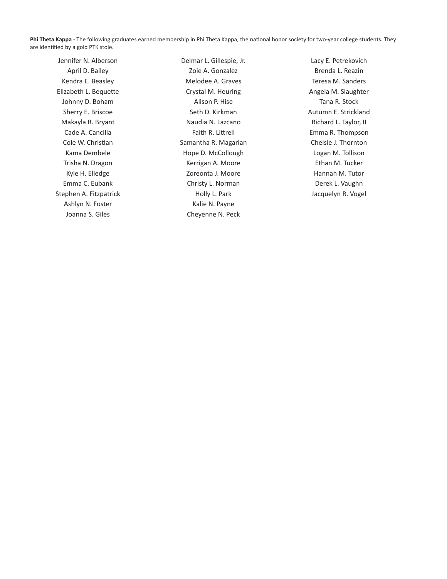**Phi Theta Kappa** - The following graduates earned membership in Phi Theta Kappa, the national honor society for two-year college students. They are identified by a gold PTK stole.

Jennifer N. Alberson April D. Bailey Kendra E. Beasley Elizabeth L. Bequette Johnny D. Boham Sherry E. Briscoe Makayla R. Bryant Cade A. Cancilla Cole W. Christian Kama Dembele Trisha N. Dragon Kyle H. Elledge Emma C. Eubank Stephen A. Fitzpatrick Ashlyn N. Foster Joanna S. Giles

Delmar L. Gillespie, Jr. Zoie A. Gonzalez Melodee A. Graves Crystal M. Heuring Alison P. Hise Seth D. Kirkman Naudia N. Lazcano Faith R. Littrell Samantha R. Magarian Hope D. McCollough Kerrigan A. Moore Zoreonta J. Moore Christy L. Norman Holly L. Park Kalie N. Payne Cheyenne N. Peck

Lacy E. Petrekovich Brenda L. Reazin Teresa M. Sanders Angela M. Slaughter Tana R. Stock Autumn E. Strickland Richard L. Taylor, II Emma R. Thompson Chelsie J. Thornton Logan M. Tollison Ethan M. Tucker Hannah M. Tutor Derek L. Vaughn Jacquelyn R. Vogel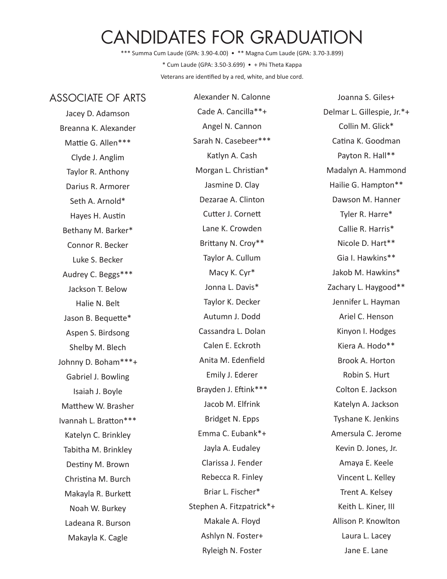### CANDIDATES FOR GRADUATION

\*\*\* Summa Cum Laude (GPA: 3.90-4.00) • \*\* Magna Cum Laude (GPA: 3.70-3.899) \* Cum Laude (GPA: 3.50-3.699) • + Phi Theta Kappa Veterans are identified by a red, white, and blue cord.

#### ASSOCIATE OF ARTS

Jacey D. Adamson Breanna K. Alexander Mattie G. Allen\*\*\* Clyde J. Anglim Taylor R. Anthony Darius R. Armorer Seth A. Arnold\* Hayes H. Austin Bethany M. Barker\* Connor R. Becker Luke S. Becker Audrey C. Beggs\*\*\* Jackson T. Below Halie N. Belt Jason B. Bequette\* Aspen S. Birdsong Shelby M. Blech Johnny D. Boham\*\*\*+ Gabriel J. Bowling Isaiah J. Boyle Matthew W. Brasher Ivannah L. Bratton\*\*\* Katelyn C. Brinkley Tabitha M. Brinkley Destiny M. Brown Christina M. Burch Makayla R. Burkett Noah W. Burkey Ladeana R. Burson Makayla K. Cagle

Alexander N. Calonne Cade A. Cancilla\*\*+ Angel N. Cannon Sarah N. Casebeer\*\*\* Katlyn A. Cash Morgan L. Christian\* Jasmine D. Clay Dezarae A. Clinton Cutter J. Cornett Lane K. Crowden Brittany N. Croy\*\* Taylor A. Cullum Macy K. Cyr\* Jonna L. Davis\* Taylor K. Decker Autumn J. Dodd Cassandra L. Dolan Calen E. Eckroth Anita M. Edenfield Emily J. Ederer Brayden J. Eftink\*\*\* Jacob M. Elfrink Bridget N. Epps Emma C. Eubank\*+ Jayla A. Eudaley Clarissa J. Fender Rebecca R. Finley Briar L. Fischer\* Stephen A. Fitzpatrick\*+ Makale A. Floyd Ashlyn N. Foster+ Ryleigh N. Foster

Joanna S. Giles+ Delmar L. Gillespie, Jr.\*+ Collin M. Glick\* Catina K. Goodman Payton R. Hall\*\* Madalyn A. Hammond Hailie G. Hampton\*\* Dawson M. Hanner Tyler R. Harre\* Callie R. Harris\* Nicole D. Hart\*\* Gia I. Hawkins\*\* Jakob M. Hawkins\* Zachary L. Haygood\*\* Jennifer L. Hayman Ariel C. Henson Kinyon I. Hodges Kiera A. Hodo\*\* Brook A. Horton Robin S. Hurt Colton E. Jackson Katelyn A. Jackson Tyshane K. Jenkins Amersula C. Jerome Kevin D. Jones, Jr. Amaya E. Keele Vincent L. Kelley Trent A. Kelsey Keith L. Kiner, III Allison P. Knowlton Laura L. Lacey Jane E. Lane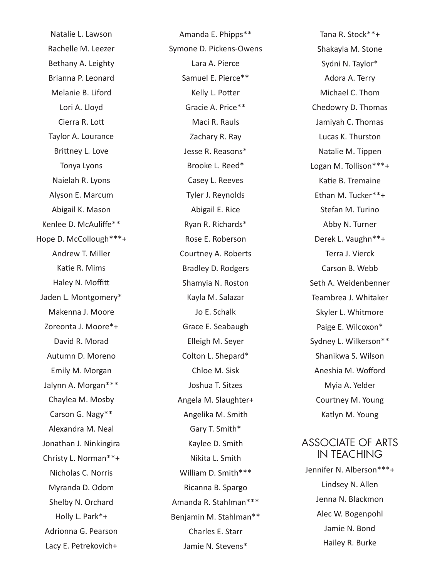Natalie L. Lawson Rachelle M. Leezer Bethany A. Leighty Brianna P. Leonard Melanie B. Liford Lori A. Lloyd Cierra R. Lott Taylor A. Lourance Brittney L. Love Tonya Lyons Naielah R. Lyons Alyson E. Marcum Abigail K. Mason Kenlee D. McAuliffe\*\* Hope D. McCollough\*\*\*+ Andrew T. Miller Katie R. Mims Haley N. Moffitt Jaden L. Montgomery\* Makenna J. Moore Zoreonta J. Moore\*+ David R. Morad Autumn D. Moreno Emily M. Morgan Jalynn A. Morgan\*\*\* Chaylea M. Mosby Carson G. Nagy\*\* Alexandra M. Neal Jonathan J. Ninkingira Christy L. Norman\*\*+ Nicholas C. Norris Myranda D. Odom Shelby N. Orchard Holly L. Park\*+ Adrionna G. Pearson Lacy E. Petrekovich+

Amanda E. Phipps\*\* Symone D. Pickens-Owens Lara A. Pierce Samuel E. Pierce\*\* Kelly L. Potter Gracie A. Price\*\* Maci R. Rauls Zachary R. Ray Jesse R. Reasons\* Brooke L. Reed\* Casey L. Reeves Tyler J. Reynolds Abigail E. Rice Ryan R. Richards\* Rose E. Roberson Courtney A. Roberts Bradley D. Rodgers Shamyia N. Roston Kayla M. Salazar Jo E. Schalk Grace E. Seabaugh Elleigh M. Seyer Colton L. Shepard\* Chloe M. Sisk Joshua T. Sitzes Angela M. Slaughter+ Angelika M. Smith Gary T. Smith\* Kaylee D. Smith Nikita L. Smith William D. Smith\*\*\* Ricanna B. Spargo Amanda R. Stahlman\*\*\* Benjamin M. Stahlman\*\* Charles E. Starr Jamie N. Stevens\*

Tana R. Stock\*\*+ Shakayla M. Stone Sydni N. Taylor\* Adora A. Terry Michael C. Thom Chedowry D. Thomas Jamiyah C. Thomas Lucas K. Thurston Natalie M. Tippen Logan M. Tollison\*\*\*+ Katie B. Tremaine Ethan M. Tucker\*\*+ Stefan M. Turino Abby N. Turner Derek L. Vaughn\*\*+ Terra J. Vierck Carson B. Webb Seth A. Weidenbenner Teambrea J. Whitaker Skyler L. Whitmore Paige E. Wilcoxon\* Sydney L. Wilkerson\*\* Shanikwa S. Wilson Aneshia M. Wofford Myia A. Yelder Courtney M. Young Katlyn M. Young

#### ASSOCIATE OF ARTS IN TEACHING

Jennifer N. Alberson\*\*\*+ Lindsey N. Allen Jenna N. Blackmon Alec W. Bogenpohl Jamie N. Bond Hailey R. Burke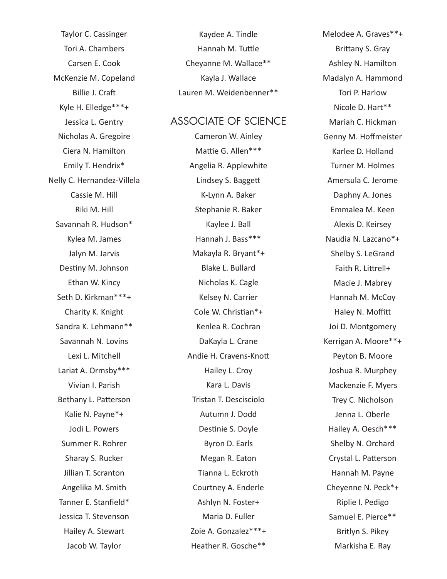Taylor C. Cassinger Tori A. Chambers Carsen E. Cook McKenzie M. Copeland Billie J. Craft Kyle H. Elledge\*\*\*+ Jessica L. Gentry Nicholas A. Gregoire Ciera N. Hamilton Emily T. Hendrix\* Nelly C. Hernandez-Villela Cassie M. Hill Riki M. Hill Savannah R. Hudson\* Kylea M. James Jalyn M. Jarvis Destiny M. Johnson Ethan W. Kincy Seth D. Kirkman\*\*\*+ Charity K. Knight Sandra K. Lehmann\*\* Savannah N. Lovins Lexi L. Mitchell Lariat A. Ormsby\*\*\* Vivian I. Parish Bethany L. Patterson Kalie N. Payne\*+ Jodi L. Powers Summer R. Rohrer Sharay S. Rucker Jillian T. Scranton Angelika M. Smith Tanner E. Stanfield\* Jessica T. Stevenson Hailey A. Stewart Jacob W. Taylor

Kaydee A. Tindle Hannah M. Tuttle Cheyanne M. Wallace\*\* Kayla J. Wallace Lauren M. Weidenbenner\*\*

#### ASSOCIATE OF SCIENCE

Cameron W. Ainley Mattie G. Allen\*\*\* Angelia R. Applewhite Lindsey S. Baggett K-Lynn A. Baker Stephanie R. Baker Kaylee J. Ball Hannah J. Bass\*\*\* Makayla R. Bryant\*+ Blake L. Bullard Nicholas K. Cagle Kelsey N. Carrier Cole W. Christian\*+ Kenlea R. Cochran DaKayla L. Crane Andie H. Cravens-Knott Hailey L. Croy Kara L. Davis Tristan T. Descisciolo Autumn J. Dodd Destinie S. Doyle Byron D. Earls Megan R. Eaton Tianna L. Eckroth Courtney A. Enderle Ashlyn N. Foster+ Maria D. Fuller Zoie A. Gonzalez\*\*\*+ Heather R. Gosche\*\*

Melodee A. Graves\*\*+ Brittany S. Gray Ashley N. Hamilton Madalyn A. Hammond Tori P. Harlow Nicole D. Hart\*\* Mariah C. Hickman Genny M. Hoffmeister Karlee D. Holland Turner M. Holmes Amersula C. Jerome Daphny A. Jones Emmalea M. Keen Alexis D. Keirsey Naudia N. Lazcano\*+ Shelby S. LeGrand Faith R. Littrell+ Macie J. Mabrey Hannah M. McCoy Haley N. Moffitt Joi D. Montgomery Kerrigan A. Moore\*\*+ Peyton B. Moore Joshua R. Murphey Mackenzie F. Myers Trey C. Nicholson Jenna L. Oberle Hailey A. Oesch\*\*\* Shelby N. Orchard Crystal L. Patterson Hannah M. Payne Cheyenne N. Peck\*+ Riplie I. Pedigo Samuel E. Pierce\*\* Britlyn S. Pikey Markisha E. Ray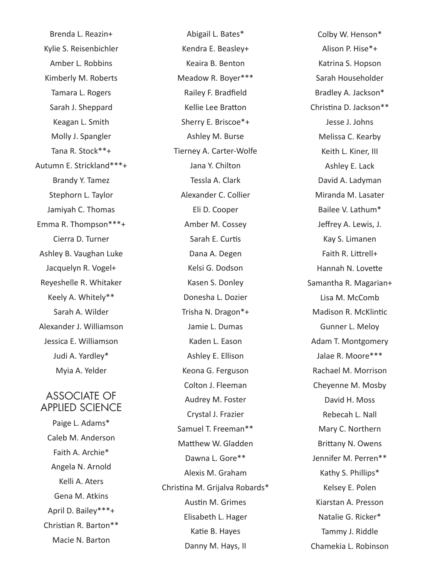Brenda L. Reazin+ Kylie S. Reisenbichler Amber L. Robbins Kimberly M. Roberts Tamara L. Rogers Sarah J. Sheppard Keagan L. Smith Molly J. Spangler Tana R. Stock\*\*+ Autumn E. Strickland\*\*\*+ Brandy Y. Tamez Stephorn L. Taylor Jamiyah C. Thomas Emma R. Thompson\*\*\*+ Cierra D. Turner Ashley B. Vaughan Luke Jacquelyn R. Vogel+ Reyeshelle R. Whitaker Keely A. Whitely\*\* Sarah A. Wilder Alexander J. Williamson Jessica E. Williamson Judi A. Yardley\* Myia A. Yelder

#### ASSOCIATE OF APPLIED SCIENCE

Paige L. Adams\* Caleb M. Anderson Faith A. Archie\* Angela N. Arnold Kelli A. Aters Gena M. Atkins April D. Bailey\*\*\*+ Christian R. Barton\*\* Macie N. Barton

Abigail L. Bates\* Kendra E. Beasley+ Keaira B. Benton Meadow R. Boyer\*\*\* Railey F. Bradfield Kellie Lee Bratton Sherry E. Briscoe\*+ Ashley M. Burse Tierney A. Carter-Wolfe Jana Y. Chilton Tessla A. Clark Alexander C. Collier Eli D. Cooper Amber M. Cossey Sarah E. Curtis Dana A. Degen Kelsi G. Dodson Kasen S. Donley Donesha L. Dozier Trisha N. Dragon\*+ Jamie L. Dumas Kaden L. Eason Ashley E. Ellison Keona G. Ferguson Colton J. Fleeman Audrey M. Foster Crystal J. Frazier Samuel T. Freeman\*\* Matthew W. Gladden Dawna L. Gore\*\* Alexis M. Graham Christina M. Grijalva Robards\* Austin M. Grimes Elisabeth L. Hager Katie B. Hayes Danny M. Hays, II

Colby W. Henson\* Alison P. Hise\*+ Katrina S. Hopson Sarah Householder Bradley A. Jackson\* Christina D. Jackson\*\* Jesse J. Johns Melissa C. Kearby Keith L. Kiner, III Ashley E. Lack David A. Ladyman Miranda M. Lasater Bailee V. Lathum\* Jeffrey A. Lewis, J. Kay S. Limanen Faith R. Littrell+ Hannah N. Lovette Samantha R. Magarian+ Lisa M. McComb Madison R. McKlintic Gunner L. Meloy Adam T. Montgomery Jalae R. Moore\*\*\* Rachael M. Morrison Cheyenne M. Mosby David H. Moss Rebecah L. Nall Mary C. Northern Brittany N. Owens Jennifer M. Perren\*\* Kathy S. Phillips\* Kelsey E. Polen Kiarstan A. Presson Natalie G. Ricker\* Tammy J. Riddle Chamekia L. Robinson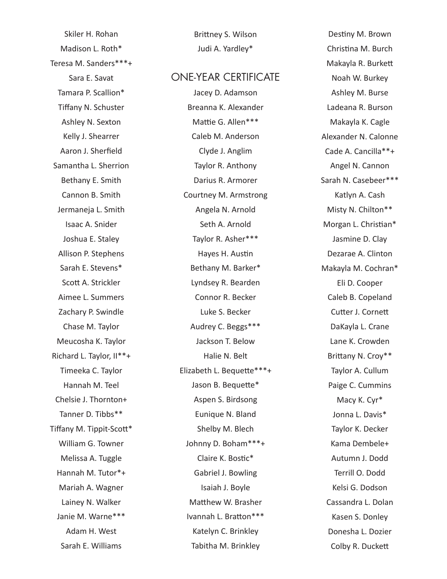Skiler H. Rohan Madison L. Roth\* Teresa M. Sanders\*\*\*+ Sara E. Savat Tamara P. Scallion\* Tiffany N. Schuster Ashley N. Sexton Kelly J. Shearrer Aaron J. Sherfield Samantha L. Sherrion Bethany E. Smith Cannon B. Smith Jermaneja L. Smith Isaac A. Snider Joshua E. Staley Allison P. Stephens Sarah E. Stevens\* Scott A. Strickler Aimee L. Summers Zachary P. Swindle Chase M. Taylor Meucosha K. Taylor Richard L. Taylor, II\*\*+ Timeeka C. Taylor Hannah M. Teel Chelsie J. Thornton+ Tanner D. Tibbs\*\* Tiffany M. Tippit-Scott\* William G. Towner Melissa A. Tuggle Hannah M. Tutor\*+ Mariah A. Wagner Lainey N. Walker Janie M. Warne\*\*\* Adam H. West Sarah E. Williams

Brittney S. Wilson Judi A. Yardley\*

#### ONE-YEAR CERTIFICATE

Jacey D. Adamson Breanna K. Alexander Mattie G. Allen\*\*\* Caleb M. Anderson Clyde J. Anglim Taylor R. Anthony Darius R. Armorer Courtney M. Armstrong Angela N. Arnold Seth A. Arnold Taylor R. Asher\*\*\* Hayes H. Austin Bethany M. Barker\* Lyndsey R. Bearden Connor R. Becker Luke S. Becker Audrey C. Beggs\*\*\* Jackson T. Below Halie N. Belt Elizabeth L. Bequette\*\*\*+ Jason B. Bequette\* Aspen S. Birdsong Eunique N. Bland Shelby M. Blech Johnny D. Boham\*\*\*+ Claire K. Bostic\* Gabriel J. Bowling Isaiah J. Boyle Matthew W. Brasher Ivannah L. Bratton\*\*\* Katelyn C. Brinkley Tabitha M. Brinkley

Destiny M. Brown Christina M. Burch Makayla R. Burkett Noah W. Burkey Ashley M. Burse Ladeana R. Burson Makayla K. Cagle Alexander N. Calonne Cade A. Cancilla\*\*+ Angel N. Cannon Sarah N. Casebeer\*\*\* Katlyn A. Cash Misty N. Chilton\*\* Morgan L. Christian\* Jasmine D. Clay Dezarae A. Clinton Makayla M. Cochran\* Eli D. Cooper Caleb B. Copeland Cutter J. Cornett DaKayla L. Crane Lane K. Crowden Brittany N. Croy\*\* Taylor A. Cullum Paige C. Cummins Macy K. Cyr\* Jonna L. Davis\* Taylor K. Decker Kama Dembele+ Autumn J. Dodd Terrill O. Dodd Kelsi G. Dodson Cassandra L. Dolan Kasen S. Donley Donesha L. Dozier Colby R. Duckett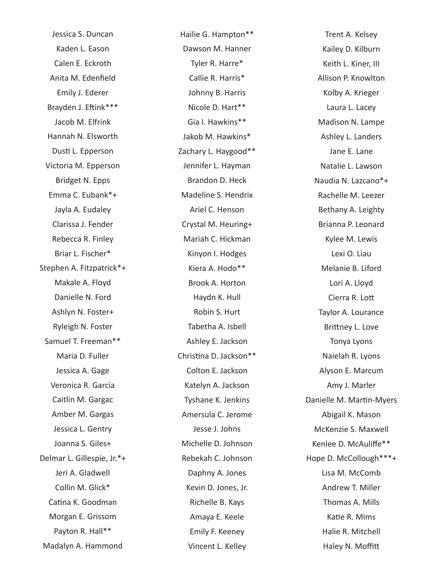Jessica S. Duncan Kaden L. Eason Calen E. Eckroth Anita M. Edenfield Emily J. Ederer Brayden J. Eftink\*\*\* Jacob M. Elfrink Hannah N. Elsworth Dusti L. Epperson Victoria M. Epperson Bridget N. Epps Emma C. Eubank\*+ Jayla A. Eudaley Clarissa J. Fender Rebecca R. Finley Briar L. Fischer\* Stephen A. Fitzpatrick\*+ Makale A. Floyd Danielle N. Ford Ashlyn N. Foster+ Ryleigh N. Foster Samuel T. Freeman\*\* Maria D. Fuller Jessica A. Gage Veronica R. Garcia Caitlin M. Gargac Amber M. Gargas Jessica L. Gentry Joanna S. Giles+ Delmar L. Gillespie, Jr.\*+ Jeri A. Gladwell Collin M. Glick\* Catina K. Goodman Morgan E. Grissom Payton R. Hall\*\* Madalyn A. Hammond

Hailie G. Hampton\*\* Dawson M. Hanner Tyler R. Harre\* Callie R. Harris\* Johnny B. Harris Nicole D. Hart\*\* Gia I. Hawkins\*\* Jakob M. Hawkins\* Zachary L. Haygood\*\* Jennifer L. Hayman Brandon D. Heck Madeline S. Hendrix Ariel C. Henson Crystal M. Heuring+ Mariah C. Hickman Kinyon I. Hodges Kiera A. Hodo\*\* Brook A. Horton Haydn K. Hull Robin S. Hurt Tabetha A. Isbell Ashley E. Jackson Christina D. Jackson\*\* Colton E. Jackson Katelyn A. Jackson Tyshane K. Jenkins Amersula C. Jerome Jesse J. Johns Michelle D. Johnson Rebekah C. Johnson Daphny A. Jones Kevin D. Jones, Jr. Richelle B. Kays Amaya E. Keele Emily F. Keeney Vincent L. Kelley

Trent A. Kelsey Kailey D. Kilburn Keith L. Kiner, III Allison P. Knowlton Kolby A. Krieger Laura L. Lacey Madison N. Lampe Ashley L. Landers Jane E. Lane Natalie L. Lawson Naudia N. Lazcano\*+ Rachelle M. Leezer Bethany A. Leighty Brianna P. Leonard Kylee M. Lewis Lexi O. Liau Melanie B. Liford Lori A. Lloyd Cierra R. Lott Taylor A. Lourance Brittney L. Love Tonya Lyons Naielah R. Lyons Alyson E. Marcum Amy J. Marler Danielle M. Martin-Myers Abigail K. Mason McKenzie S. Maxwell Kenlee D. McAuliffe\*\* Hope D. McCollough\*\*\*+ Lisa M. McComb Andrew T. Miller Thomas A. Mills Katie R. Mims Halie R. Mitchell Haley N. Moffitt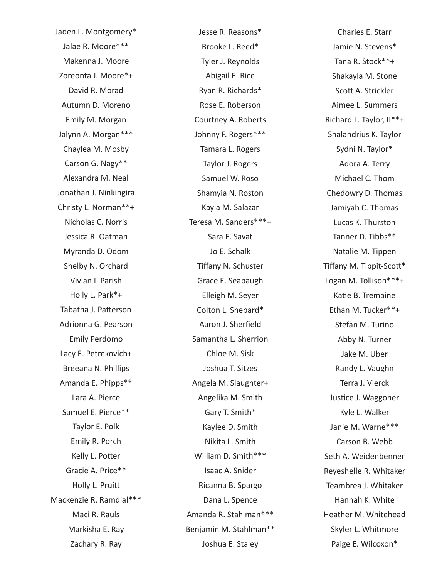Jaden L. Montgomery\* Jalae R. Moore\*\*\* Makenna J. Moore Zoreonta J. Moore\*+ David R. Morad Autumn D. Moreno Emily M. Morgan Jalynn A. Morgan\*\*\* Chaylea M. Mosby Carson G. Nagy\*\* Alexandra M. Neal Jonathan J. Ninkingira Christy L. Norman\*\*+ Nicholas C. Norris Jessica R. Oatman Myranda D. Odom Shelby N. Orchard Vivian I. Parish Holly L. Park\*+ Tabatha J. Patterson Adrionna G. Pearson Emily Perdomo Lacy E. Petrekovich+ Breeana N. Phillips Amanda E. Phipps\*\* Lara A. Pierce Samuel E. Pierce\*\* Taylor E. Polk Emily R. Porch Kelly L. Potter Gracie A. Price\*\* Holly L. Pruitt Mackenzie R. Ramdial\*\*\* Maci R. Rauls Markisha E. Ray Zachary R. Ray

Jesse R. Reasons\* Brooke L. Reed\* Tyler J. Reynolds Abigail E. Rice Ryan R. Richards\* Rose E. Roberson Courtney A. Roberts Johnny F. Rogers\*\*\* Tamara L. Rogers Taylor J. Rogers Samuel W. Roso Shamyia N. Roston Kayla M. Salazar Teresa M. Sanders\*\*\*+ Sara E. Savat Jo E. Schalk Tiffany N. Schuster Grace E. Seabaugh Elleigh M. Seyer Colton L. Shepard\* Aaron J. Sherfield Samantha L. Sherrion Chloe M. Sisk Joshua T. Sitzes Angela M. Slaughter+ Angelika M. Smith Gary T. Smith\* Kaylee D. Smith Nikita L. Smith William D. Smith\*\*\* Isaac A. Snider Ricanna B. Spargo Dana L. Spence Amanda R. Stahlman\*\*\* Benjamin M. Stahlman\*\* Joshua E. Staley

Charles E. Starr Jamie N. Stevens\* Tana R. Stock\*\*+ Shakayla M. Stone Scott A. Strickler Aimee L. Summers Richard L. Taylor, II\*\*+ Shalandrius K. Taylor Sydni N. Taylor\* Adora A. Terry Michael C. Thom Chedowry D. Thomas Jamiyah C. Thomas Lucas K. Thurston Tanner D. Tibbs\*\* Natalie M. Tippen Tiffany M. Tippit-Scott\* Logan M. Tollison\*\*\*+ Katie B. Tremaine Ethan M. Tucker\*\*+ Stefan M. Turino Abby N. Turner Jake M. Uber Randy L. Vaughn Terra J. Vierck Justice J. Waggoner Kyle L. Walker Janie M. Warne\*\*\* Carson B. Webb Seth A. Weidenbenner Reyeshelle R. Whitaker Teambrea J. Whitaker Hannah K. White Heather M. Whitehead Skyler L. Whitmore Paige E. Wilcoxon\*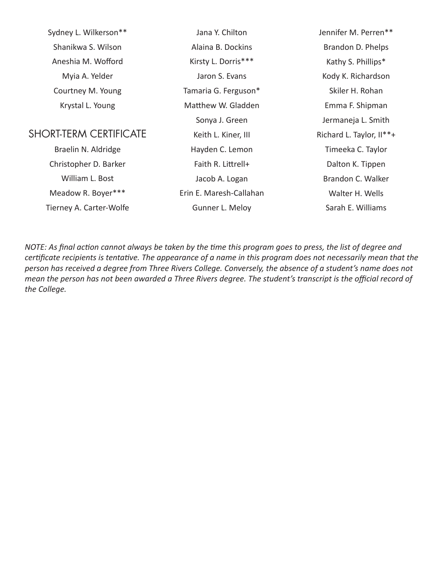| Sydney L. Wilkerson**         | Jana Y. Chilton         | Jennifer M. Perren**     |
|-------------------------------|-------------------------|--------------------------|
| Shanikwa S. Wilson            | Alaina B. Dockins       | Brandon D. Phelps        |
| Aneshia M. Wofford            | Kirsty L. Dorris***     | Kathy S. Phillips*       |
| Myia A. Yelder                | Jaron S. Evans          | Kody K. Richardson       |
| Courtney M. Young             | Tamaria G. Ferguson*    | Skiler H. Rohan          |
| Krystal L. Young              | Matthew W. Gladden      | Emma F. Shipman          |
|                               | Sonya J. Green          | Jermaneja L. Smith       |
| <b>SHORT-TERM CERTIFICATE</b> | Keith L. Kiner, III     | Richard L. Taylor, II**+ |
| Braelin N. Aldridge           | Hayden C. Lemon         | Timeeka C. Taylor        |
| Christopher D. Barker         | Faith R. Littrell+      | Dalton K. Tippen         |
| William L. Bost               | Jacob A. Logan          | Brandon C. Walker        |
| Meadow R. Boyer***            | Erin E. Maresh-Callahan | Walter H. Wells          |
| Tierney A. Carter-Wolfe       | Gunner L. Meloy         | Sarah E. Williams        |
|                               |                         |                          |

*NOTE: As final action cannot always be taken by the time this program goes to press, the list of degree and certificate recipients is tentative. The appearance of a name in this program does not necessarily mean that the person has received a degree from Three Rivers College. Conversely, the absence of a student's name does not mean the person has not been awarded a Three Rivers degree. The student's transcript is the official record of the College.*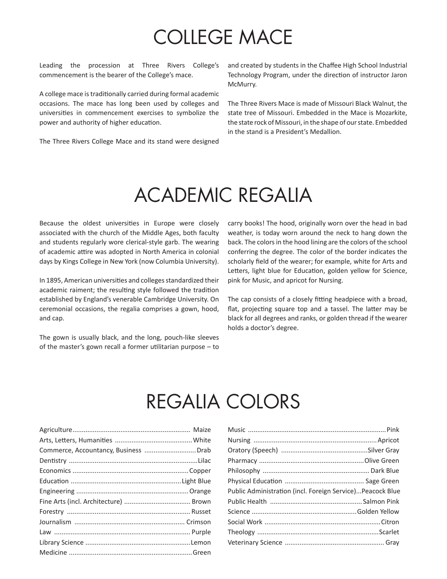# COLLEGE MACE

Leading the procession at Three Rivers College's commencement is the bearer of the College's mace.

A college mace is traditionally carried during formal academic occasions. The mace has long been used by colleges and universities in commencement exercises to symbolize the power and authority of higher education.

The Three Rivers College Mace and its stand were designed

and created by students in the Chaffee High School Industrial Technology Program, under the direction of instructor Jaron McMurry.

The Three Rivers Mace is made of Missouri Black Walnut, the state tree of Missouri. Embedded in the Mace is Mozarkite, the state rock of Missouri, in the shape of our state. Embedded in the stand is a President's Medallion.

### ACADEMIC REGALIA

Because the oldest universities in Europe were closely associated with the church of the Middle Ages, both faculty and students regularly wore clerical-style garb. The wearing of academic attire was adopted in North America in colonial days by Kings College in New York (now Columbia University).

In 1895, American universities and colleges standardized their academic raiment; the resulting style followed the tradition established by England's venerable Cambridge University. On ceremonial occasions, the regalia comprises a gown, hood, and cap.

The gown is usually black, and the long, pouch-like sleeves of the master's gown recall a former utilitarian purpose – to carry books! The hood, originally worn over the head in bad weather, is today worn around the neck to hang down the back. The colors in the hood lining are the colors of the school conferring the degree. The color of the border indicates the scholarly field of the wearer; for example, white for Arts and Letters, light blue for Education, golden yellow for Science, pink for Music, and apricot for Nursing.

The cap consists of a closely fitting headpiece with a broad, flat, projecting square top and a tassel. The latter may be black for all degrees and ranks, or golden thread if the wearer holds a doctor's degree.

### REGALIA COLORS

| Public Administration (incl. Foreign Service)Peacock Blue |  |
|-----------------------------------------------------------|--|
|                                                           |  |
|                                                           |  |
|                                                           |  |
|                                                           |  |
|                                                           |  |
|                                                           |  |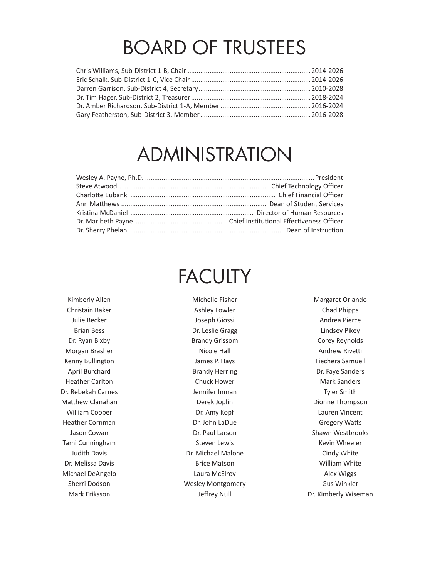## BOARD OF TRUSTEES

## ADMINISTRATION

# **FACULTY**

Kimberly Allen Christain Baker Julie Becker Brian Bess Dr. Ryan Bixby Morgan Brasher Kenny Bullington April Burchard Heather Carlton Dr. Rebekah Carnes Matthew Clanahan William Cooper Heather Cornman Jason Cowan Tami Cunningham Judith Davis Dr. Melissa Davis Michael DeAngelo Sherri Dodson Mark Eriksson

Michelle Fisher Ashley Fowler Joseph Giossi Dr. Leslie Gragg Brandy Grissom Nicole Hall James P. Hays Brandy Herring Chuck Hower Jennifer Inman Derek Joplin Dr. Amy Kopf Dr. John LaDue Dr. Paul Larson Steven Lewis Dr. Michael Malone Brice Matson Laura McElroy Wesley Montgomery Jeffrey Null

Margaret Orlando Chad Phipps Andrea Pierce Lindsey Pikey Corey Reynolds Andrew Rivetti Tiechera Samuell Dr. Faye Sanders Mark Sanders Tyler Smith Dionne Thompson Lauren Vincent Gregory Watts Shawn Westbrooks Kevin Wheeler Cindy White William White Alex Wiggs Gus Winkler Dr. Kimberly Wiseman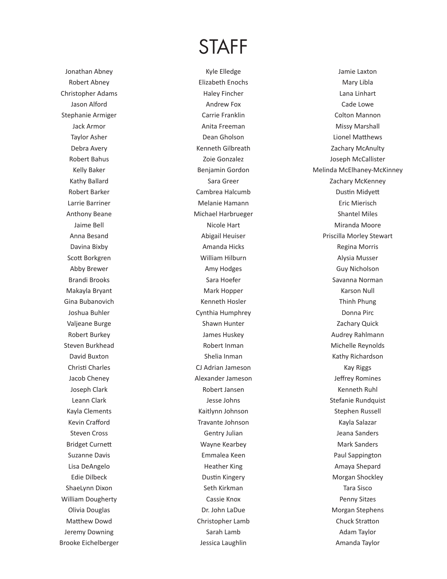### STAFF

Jonathan Abney Robert Abney Christopher Adams Jason Alford Stephanie Armiger Jack Armor Taylor Asher Debra Avery Robert Bahus Kelly Baker Kathy Ballard Robert Barker Larrie Barriner Anthony Beane Jaime Bell Anna Besand Davina Bixby Scott Borkgren Abby Brewer Brandi Brooks Makayla Bryant Gina Bubanovich Joshua Buhler Valjeane Burge Robert Burkey Steven Burkhead David Buxton Christi Charles Jacob Cheney Joseph Clark Leann Clark Kayla Clements Kevin Crafford Steven Cross Bridget Curnett Suzanne Davis Lisa DeAngelo Edie Dilbeck ShaeLynn Dixon William Dougherty Olivia Douglas Matthew Dowd Jeremy Downing Brooke Eichelberger

Kyle Elledge Elizabeth Enochs Haley Fincher Andrew Fox Carrie Franklin Anita Freeman Dean Gholson Kenneth Gilbreath Zoie Gonzalez Benjamin Gordon Sara Greer Cambrea Halcumb Melanie Hamann Michael Harbrueger Nicole Hart Abigail Heuiser Amanda Hicks William Hilburn Amy Hodges Sara Hoefer Mark Hopper Kenneth Hosler Cynthia Humphrey Shawn Hunter James Huskey Robert Inman Shelia Inman CJ Adrian Jameson Alexander Jameson Robert Jansen Jesse Johns Kaitlynn Johnson Travante Johnson Gentry Julian Wayne Kearbey Emmalea Keen Heather King Dustin Kingery Seth Kirkman Cassie Knox Dr. John LaDue Christopher Lamb Sarah Lamb Jessica Laughlin

Jamie Laxton Mary Libla Lana Linhart Cade Lowe Colton Mannon Missy Marshall Lionel Matthews Zachary McAnulty Joseph McCallister Melinda McElhaney-McKinney Zachary McKenney Dustin Midyett Eric Mierisch Shantel Miles Miranda Moore Priscilla Morley Stewart Regina Morris Alysia Musser Guy Nicholson Savanna Norman Karson Null Thinh Phung Donna Pirc Zachary Quick Audrey Rahlmann Michelle Reynolds Kathy Richardson Kay Riggs Jeffrey Romines Kenneth Ruhl Stefanie Rundquist Stephen Russell Kayla Salazar Jeana Sanders Mark Sanders Paul Sappington Amaya Shepard Morgan Shockley Tara Sisco Penny Sitzes Morgan Stephens Chuck Stratton Adam Taylor Amanda Taylor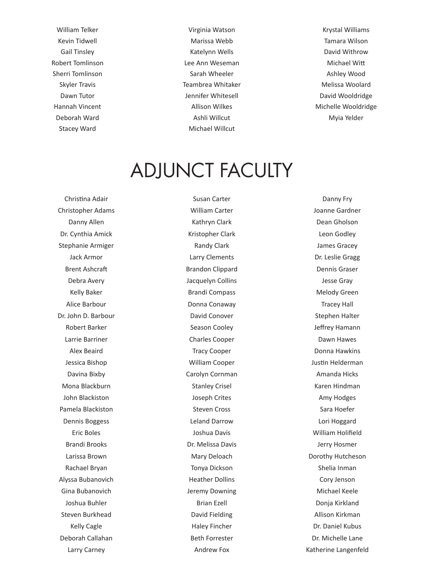William Telker Kevin Tidwell Gail Tinsley Robert Tomlinson Sherri Tomlinson Skyler Travis Dawn Tutor Hannah Vincent Deborah Ward Stacey Ward

Virginia Watson Marissa Webb Katelynn Wells Lee Ann Weseman Sarah Wheeler Teambrea Whitaker Jennifer Whitesell Allison Wilkes Ashli Willcut Michael Willcut

Krystal Williams Tamara Wilson David Withrow Michael Witt Ashley Wood Melissa Woolard David Wooldridge Michelle Wooldridge Myia Yelder

### ADJUNCT FACULTY

Christina Adair Christopher Adams Danny Allen Dr. Cynthia Amick Stephanie Armiger Jack Armor Brent Ashcraft Debra Avery Kelly Baker Alice Barbour Dr. John D. Barbour Robert Barker Larrie Barriner Alex Beaird Jessica Bishop Davina Bixby Mona Blackburn John Blackiston Pamela Blackiston Dennis Boggess Eric Boles Brandi Brooks Larissa Brown Rachael Bryan Alyssa Bubanovich Gina Bubanovich Joshua Buhler Steven Burkhead Kelly Cagle Deborah Callahan Larry Carney

Susan Carter William Carter Kathryn Clark Kristopher Clark Randy Clark Larry Clements Brandon Clippard Jacquelyn Collins Brandi Compass Donna Conaway David Conover Season Cooley Charles Cooper Tracy Cooper William Cooper Carolyn Cornman Stanley Crisel Joseph Crites Steven Cross Leland Darrow Joshua Davis Dr. Melissa Davis Mary Deloach Tonya Dickson Heather Dollins Jeremy Downing Brian Ezell David Fielding Haley Fincher Beth Forrester Andrew Fox

Danny Fry Joanne Gardner Dean Gholson Leon Godley James Gracey Dr. Leslie Gragg Dennis Graser Jesse Gray Melody Green Tracey Hall Stephen Halter Jeffrey Hamann Dawn Hawes Donna Hawkins Justin Helderman Amanda Hicks Karen Hindman Amy Hodges Sara Hoefer Lori Hoggard William Holifield Jerry Hosmer Dorothy Hutcheson Shelia Inman Cory Jenson Michael Keele Donja Kirkland Allison Kirkman Dr. Daniel Kubus Dr. Michelle Lane Katherine Langenfeld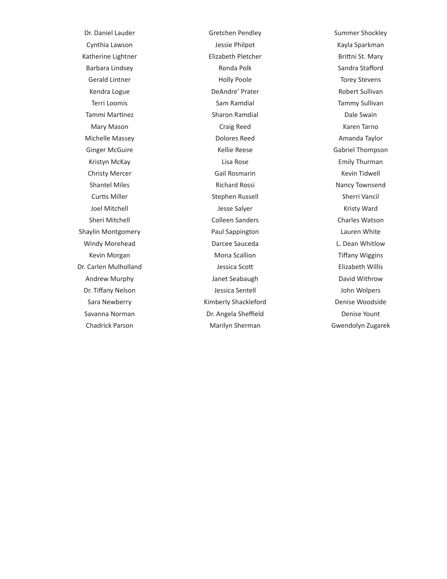Dr. Daniel Lauder Cynthia Lawson Katherine Lightner Barbara Lindsey Gerald Lintner Kendra Logue Terri Loomis Tammi Martinez Mary Mason Michelle Massey Ginger McGuire Kristyn McKay Christy Mercer Shantel Miles Curtis Miller Joel Mitchell Sheri Mitchell Shaylin Montgomery Windy Morehead Kevin Morgan Dr. Carlen Mulholland Andrew Murphy Dr. Tiffany Nelson Sara Newberry Savanna Norman Chadrick Parson

Gretchen Pendley Jessie Philpot Elizabeth Pletcher Ronda Polk Holly Poole DeAndre' Prater Sam Ramdial Sharon Ramdial Craig Reed Dolores Reed Kellie Reese Lisa Rose Gail Rosmarin Richard Rossi Stephen Russell Jesse Salyer Colleen Sanders Paul Sappington Darcee Sauceda Mona Scallion Jessica Scott Janet Seabaugh Jessica Sentell Kimberly Shackleford Dr. Angela Sheffield Marilyn Sherman

Summer Shockley Kayla Sparkman Brittni St. Mary Sandra Stafford Torey Stevens Robert Sullivan Tammy Sullivan Dale Swain Karen Tarno Amanda Taylor Gabriel Thompson Emily Thurman Kevin Tidwell Nancy Townsend Sherri Vancil Kristy Ward Charles Watson Lauren White L. Dean Whitlow Tiffany Wiggins Elizabeth Willis David Withrow John Wolpers Denise Woodside Denise Yount Gwendolyn Zugarek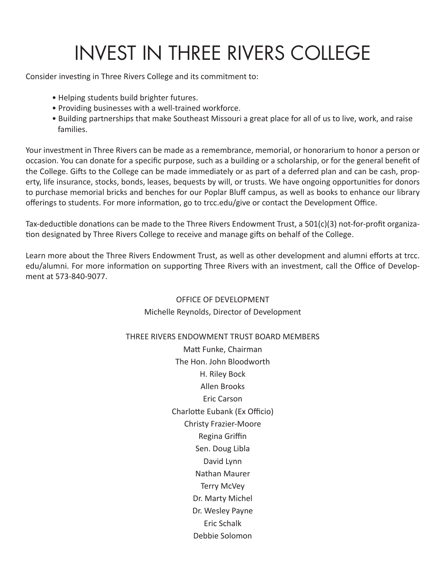# INVEST IN THREE RIVERS COLLEGE

Consider investing in Three Rivers College and its commitment to:

- Helping students build brighter futures.
- Providing businesses with a well-trained workforce.
- Building partnerships that make Southeast Missouri a great place for all of us to live, work, and raise families.

Your investment in Three Rivers can be made as a remembrance, memorial, or honorarium to honor a person or occasion. You can donate for a specific purpose, such as a building or a scholarship, or for the general benefit of the College. Gifts to the College can be made immediately or as part of a deferred plan and can be cash, property, life insurance, stocks, bonds, leases, bequests by will, or trusts. We have ongoing opportunities for donors to purchase memorial bricks and benches for our Poplar Bluff campus, as well as books to enhance our library offerings to students. For more information, go to trcc.edu/give or contact the Development Office.

Tax-deductible donations can be made to the Three Rivers Endowment Trust, a 501(c)(3) not-for-profit organization designated by Three Rivers College to receive and manage gifts on behalf of the College.

Learn more about the Three Rivers Endowment Trust, as well as other development and alumni efforts at trcc. edu/alumni. For more information on supporting Three Rivers with an investment, call the Office of Development at 573-840-9077.

#### OFFICE OF DEVELOPMENT Michelle Reynolds, Director of Development

#### THREE RIVERS ENDOWMENT TRUST BOARD MEMBERS

Matt Funke, Chairman The Hon. John Bloodworth H. Riley Bock Allen Brooks Eric Carson Charlotte Eubank (Ex Officio) Christy Frazier-Moore Regina Griffin Sen. Doug Libla David Lynn Nathan Maurer Terry McVey Dr. Marty Michel Dr. Wesley Payne Eric Schalk Debbie Solomon